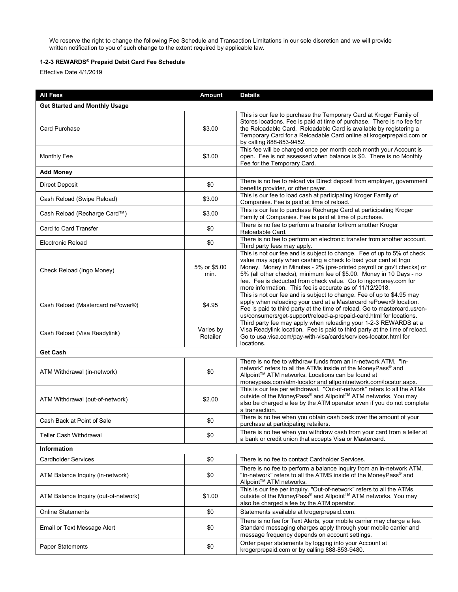We reserve the right to change the following Fee Schedule and Transaction Limitations in our sole discretion and we will provide written notification to you of such change to the extent required by applicable law.

## **1-2-3 REWARDS® Prepaid Debit Card Fee Schedule**

Effective Date 4/1/2019

| <b>All Fees</b>                      | Amount                | <b>Details</b>                                                                                                                                                                                                                                                                                                                                                                                                         |
|--------------------------------------|-----------------------|------------------------------------------------------------------------------------------------------------------------------------------------------------------------------------------------------------------------------------------------------------------------------------------------------------------------------------------------------------------------------------------------------------------------|
| <b>Get Started and Monthly Usage</b> |                       |                                                                                                                                                                                                                                                                                                                                                                                                                        |
| Card Purchase                        | \$3.00                | This is our fee to purchase the Temporary Card at Kroger Family of<br>Stores locations. Fee is paid at time of purchase. There is no fee for<br>the Reloadable Card. Reloadable Card is available by registering a<br>Temporary Card for a Reloadable Card online at krogerprepaid.com or<br>by calling 888-853-9452.                                                                                                  |
| Monthly Fee                          | \$3.00                | This fee will be charged once per month each month your Account is<br>open. Fee is not assessed when balance is \$0. There is no Monthly<br>Fee for the Temporary Card.                                                                                                                                                                                                                                                |
| <b>Add Money</b>                     |                       |                                                                                                                                                                                                                                                                                                                                                                                                                        |
| <b>Direct Deposit</b>                | \$0                   | There is no fee to reload via Direct deposit from employer, government<br>benefits provider, or other payer.                                                                                                                                                                                                                                                                                                           |
| Cash Reload (Swipe Reload)           | \$3.00                | This is our fee to load cash at participating Kroger Family of<br>Companies. Fee is paid at time of reload.                                                                                                                                                                                                                                                                                                            |
| Cash Reload (Recharge Card™)         | \$3.00                | This is our fee to purchase Recharge Card at participating Kroger<br>Family of Companies. Fee is paid at time of purchase.                                                                                                                                                                                                                                                                                             |
| Card to Card Transfer                | \$0                   | There is no fee to perform a transfer to/from another Kroger<br>Reloadable Card.                                                                                                                                                                                                                                                                                                                                       |
| <b>Electronic Reload</b>             | \$0                   | There is no fee to perform an electronic transfer from another account.<br>Third party fees may apply.                                                                                                                                                                                                                                                                                                                 |
| Check Reload (Ingo Money)            | 5% or \$5.00<br>min.  | This is not our fee and is subject to change. Fee of up to 5% of check<br>value may apply when cashing a check to load your card at Ingo<br>Money. Money in Minutes - 2% (pre-printed payroll or gov't checks) or<br>5% (all other checks), minimum fee of \$5.00. Money in 10 Days - no<br>fee. Fee is deducted from check value. Go to ingomoney.com for<br>more information. This fee is accurate as of 11/12/2018. |
| Cash Reload (Mastercard rePower®)    | \$4.95                | This is not our fee and is subject to change. Fee of up to \$4.95 may<br>apply when reloading your card at a Mastercard rePower® location.<br>Fee is paid to third party at the time of reload. Go to mastercard.us/en-<br>us/consumers/get-support/reload-a-prepaid-card.html for locations.                                                                                                                          |
| Cash Reload (Visa Readylink)         | Varies by<br>Retailer | Third party fee may apply when reloading your 1-2-3 REWARDS at a<br>Visa Readylink location. Fee is paid to third party at the time of reload.<br>Go to usa visa com/pay-with-visa/cards/services-locator.html for<br>locations.                                                                                                                                                                                       |
| <b>Get Cash</b>                      |                       |                                                                                                                                                                                                                                                                                                                                                                                                                        |
| ATM Withdrawal (in-network)          | \$0                   | There is no fee to withdraw funds from an in-network ATM. "In-<br>network" refers to all the ATMs inside of the MoneyPass® and<br>Allpoint™ ATM networks. Locations can be found at<br>moneypass.com/atm-locator and allpointnetwork.com/locator.aspx.                                                                                                                                                                 |
| ATM Withdrawal (out-of-network)      | \$2.00                | This is our fee per withdrawal. "Out-of-network" refers to all the ATMs<br>outside of the MoneyPass® and Allpoint™ ATM networks. You may<br>also be charged a fee by the ATM operator even if you do not complete<br>a transaction.                                                                                                                                                                                    |
| Cash Back at Point of Sale           | \$0                   | There is no fee when you obtain cash back over the amount of your<br>purchase at participating retailers.                                                                                                                                                                                                                                                                                                              |
| <b>Teller Cash Withdrawal</b>        | \$0                   | There is no fee when you withdraw cash from your card from a teller at<br>a bank or credit union that accepts Visa or Mastercard.                                                                                                                                                                                                                                                                                      |
| <b>Information</b>                   |                       |                                                                                                                                                                                                                                                                                                                                                                                                                        |
| <b>Cardholder Services</b>           | \$0                   | There is no fee to contact Cardholder Services.                                                                                                                                                                                                                                                                                                                                                                        |
| ATM Balance Inquiry (in-network)     | \$0                   | There is no fee to perform a balance inquiry from an in-network ATM.<br>"In-network" refers to all the ATMS inside of the MoneyPass® and<br>Allpoint™ ATM networks.                                                                                                                                                                                                                                                    |
| ATM Balance Inquiry (out-of-network) | \$1.00                | This is our fee per inquiry. "Out-of-network" refers to all the ATMs<br>outside of the MoneyPass® and Allpoint™ ATM networks. You may<br>also be charged a fee by the ATM operator.                                                                                                                                                                                                                                    |
| <b>Online Statements</b>             | \$0                   | Statements available at krogerprepaid.com.                                                                                                                                                                                                                                                                                                                                                                             |
| Email or Text Message Alert          | \$0                   | There is no fee for Text Alerts, your mobile carrier may charge a fee.<br>Standard messaging charges apply through your mobile carrier and<br>message frequency depends on account settings.                                                                                                                                                                                                                           |
| <b>Paper Statements</b>              | \$0                   | Order paper statements by logging into your Account at<br>krogerprepaid.com or by calling 888-853-9480.                                                                                                                                                                                                                                                                                                                |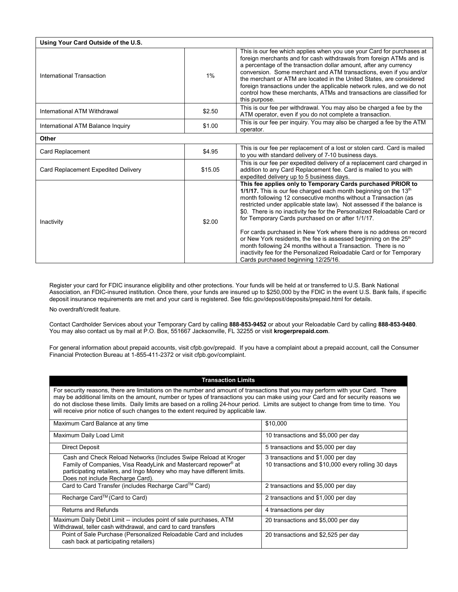| Using Your Card Outside of the U.S. |         |                                                                                                                                                                                                                                                                                                                                                                                                                                                                                                                                                                                                                                                                                                                                                    |  |
|-------------------------------------|---------|----------------------------------------------------------------------------------------------------------------------------------------------------------------------------------------------------------------------------------------------------------------------------------------------------------------------------------------------------------------------------------------------------------------------------------------------------------------------------------------------------------------------------------------------------------------------------------------------------------------------------------------------------------------------------------------------------------------------------------------------------|--|
| International Transaction           | 1%      | This is our fee which applies when you use your Card for purchases at<br>foreign merchants and for cash withdrawals from foreign ATMs and is<br>a percentage of the transaction dollar amount, after any currency<br>conversion. Some merchant and ATM transactions, even if you and/or<br>the merchant or ATM are located in the United States, are considered<br>foreign transactions under the applicable network rules, and we do not<br>control how these merchants. ATMs and transactions are classified for<br>this purpose.                                                                                                                                                                                                                |  |
| International ATM Withdrawal        | \$2.50  | This is our fee per withdrawal. You may also be charged a fee by the<br>ATM operator, even if you do not complete a transaction.                                                                                                                                                                                                                                                                                                                                                                                                                                                                                                                                                                                                                   |  |
| International ATM Balance Inquiry   | \$1.00  | This is our fee per inquiry. You may also be charged a fee by the ATM<br>operator.                                                                                                                                                                                                                                                                                                                                                                                                                                                                                                                                                                                                                                                                 |  |
| Other                               |         |                                                                                                                                                                                                                                                                                                                                                                                                                                                                                                                                                                                                                                                                                                                                                    |  |
| Card Replacement                    | \$4.95  | This is our fee per replacement of a lost or stolen card. Card is mailed<br>to you with standard delivery of 7-10 business days.                                                                                                                                                                                                                                                                                                                                                                                                                                                                                                                                                                                                                   |  |
| Card Replacement Expedited Delivery | \$15.05 | This is our fee per expedited delivery of a replacement card charged in<br>addition to any Card Replacement fee. Card is mailed to you with<br>expedited delivery up to 5 business days.                                                                                                                                                                                                                                                                                                                                                                                                                                                                                                                                                           |  |
| Inactivity                          | \$2.00  | This fee applies only to Temporary Cards purchased PRIOR to<br>1/1/17. This is our fee charged each month beginning on the 13th<br>month following 12 consecutive months without a Transaction (as<br>restricted under applicable state law). Not assessed if the balance is<br>\$0. There is no inactivity fee for the Personalized Reloadable Card or<br>for Temporary Cards purchased on or after 1/1/17.<br>For cards purchased in New York where there is no address on record<br>or New York residents, the fee is assessed beginning on the 25 <sup>th</sup><br>month following 24 months without a Transaction. There is no<br>inactivity fee for the Personalized Reloadable Card or for Temporary<br>Cards purchased beginning 12/25/16. |  |

Register your card for FDIC insurance eligibility and other protections. Your funds will be held at or transferred to U.S. Bank National Association, an FDIC-insured institution. Once there, your funds are insured up to \$250,000 by the FDIC in the event U.S. Bank fails, if specific deposit insurance requirements are met and your card is registered. See fdic.gov/deposit/deposits/prepaid.html for details.

No overdraft/credit feature.

Contact Cardholder Services about your Temporary Card by calling **888-853-9452** or about your Reloadable Card by calling **888-853-9480**. You may also contact us by mail at P.O. Box, 551667 Jacksonville, FL 32255 or visit **krogerprepaid.com**.

For general information about prepaid accounts, visit cfpb.gov/prepaid. If you have a complaint about a prepaid account, call the Consumer Financial Protection Bureau at 1-855-411-2372 or visit cfpb.gov/complaint.

| <b>Transaction Limits</b> |  |
|---------------------------|--|
|                           |  |

For security reasons, there are limitations on the number and amount of transactions that you may perform with your Card. There may be additional limits on the amount, number or types of transactions you can make using your Card and for security reasons we do not disclose these limits. Daily limits are based on a rolling 24-hour period. Limits are subject to change from time to time. You will receive prior notice of such changes to the extent required by applicable law.

| Maximum Card Balance at any time                                                                                                                                                                                                                            | \$10,000                                                                                 |  |
|-------------------------------------------------------------------------------------------------------------------------------------------------------------------------------------------------------------------------------------------------------------|------------------------------------------------------------------------------------------|--|
| Maximum Daily Load Limit                                                                                                                                                                                                                                    | 10 transactions and \$5,000 per day                                                      |  |
| Direct Deposit                                                                                                                                                                                                                                              | 5 transactions and \$5,000 per day                                                       |  |
| Cash and Check Reload Networks (Includes Swipe Reload at Kroger<br>Family of Companies, Visa ReadyLink and Mastercard repower <sup>®</sup> at<br>participating retailers, and Ingo Money who may have different limits.<br>Does not include Recharge Card). | 3 transactions and \$1,000 per day<br>10 transactions and \$10,000 every rolling 30 days |  |
| Card to Card Transfer (includes Recharge Card™ Card)                                                                                                                                                                                                        | 2 transactions and \$5,000 per day                                                       |  |
| Recharge Card <sup>™</sup> (Card to Card)                                                                                                                                                                                                                   | 2 transactions and \$1,000 per day                                                       |  |
| Returns and Refunds                                                                                                                                                                                                                                         | 4 transactions per day                                                                   |  |
| Maximum Daily Debit Limit -- includes point of sale purchases, ATM<br>Withdrawal, teller cash withdrawal, and card to card transfers                                                                                                                        | 20 transactions and \$5,000 per day                                                      |  |
| Point of Sale Purchase (Personalized Reloadable Card and includes<br>cash back at participating retailers)                                                                                                                                                  | 20 transactions and \$2,525 per day                                                      |  |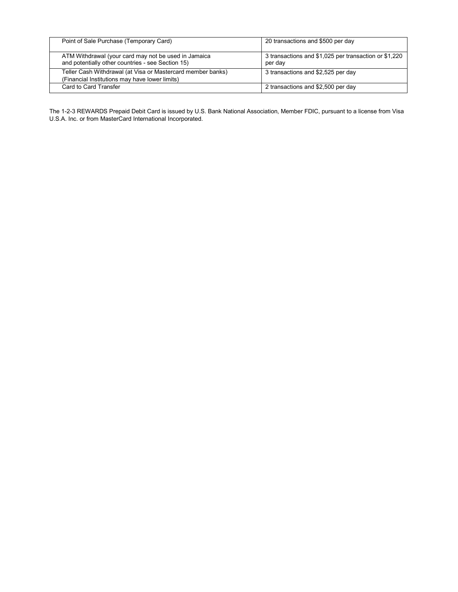| Point of Sale Purchase (Temporary Card)                                                                       | 20 transactions and \$500 per day                                |
|---------------------------------------------------------------------------------------------------------------|------------------------------------------------------------------|
| ATM Withdrawal (your card may not be used in Jamaica<br>and potentially other countries - see Section 15)     | 3 transactions and \$1,025 per transaction or \$1,220<br>per day |
| Teller Cash Withdrawal (at Visa or Mastercard member banks)<br>(Financial Institutions may have lower limits) | 3 transactions and \$2,525 per day                               |
| Card to Card Transfer                                                                                         | 2 transactions and \$2,500 per day                               |

The 1-2-3 REWARDS Prepaid Debit Card is issued by U.S. Bank National Association, Member FDIC, pursuant to a license from Visa U.S.A. Inc. or from MasterCard International Incorporated.